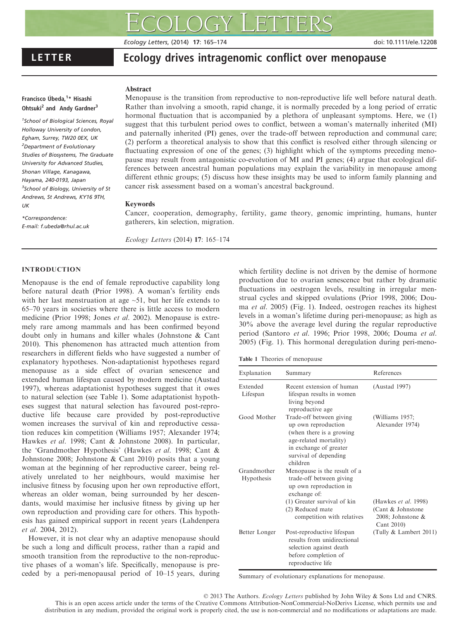Ecology Letters, (2014) 17: 165–174 doi: 10.1111/ele.12208

# LETTER Ecology drives intragenomic conflict over menopause

# Abstract

Francisco Úbeda,<sup>1</sup>\* Hisashi Ohtsuki<sup>2</sup> and Andy Gardner<sup>3</sup>

1 School of Biological Sciences, Royal Holloway University of London, Egham, Surrey, TW20 0EX, UK 2 Department of Evolutionary Studies of Biosystems, The Graduate University for Advanced Studies, Shonan Village, Kanagawa, Hayama, 240-0193, Japan <sup>3</sup>School of Biology, University of St Andrews, St Andrews, KY16 9TH,  $_{I}$ 

\*Correspondence: E-mail: f.ubeda@rhul.ac.uk

Menopause is the transition from reproductive to non-reproductive life well before natural death. Rather than involving a smooth, rapid change, it is normally preceded by a long period of erratic hormonal fluctuation that is accompanied by a plethora of unpleasant symptoms. Here, we (1) suggest that this turbulent period owes to conflict, between a woman's maternally inherited (MI) and paternally inherited (PI) genes, over the trade-off between reproduction and communal care; (2) perform a theoretical analysis to show that this conflict is resolved either through silencing or fluctuating expression of one of the genes; (3) highlight which of the symptoms preceding menopause may result from antagonistic co-evolution of MI and PI genes; (4) argue that ecological differences between ancestral human populations may explain the variability in menopause among different ethnic groups; (5) discuss how these insights may be used to inform family planning and cancer risk assessment based on a woman's ancestral background.

#### Keywords

Cancer, cooperation, demography, fertility, game theory, genomic imprinting, humans, hunter gatherers, kin selection, migration.

Ecology Letters (2014) 17: 165–174

# INTRODUCTION

Menopause is the end of female reproductive capability long before natural death (Prior 1998). A woman's fertility ends with her last menstruation at age ~51, but her life extends to 65–70 years in societies where there is little access to modern medicine (Prior 1998; Jones et al. 2002). Menopause is extremely rare among mammals and has been confirmed beyond doubt only in humans and killer whales (Johnstone & Cant 2010). This phenomenon has attracted much attention from researchers in different fields who have suggested a number of explanatory hypotheses. Non-adaptationist hypotheses regard menopause as a side effect of ovarian senescence and extended human lifespan caused by modern medicine (Austad 1997), whereas adaptationist hypotheses suggest that it owes to natural selection (see Table 1). Some adaptationist hypotheses suggest that natural selection has favoured post-reproductive life because care provided by post-reproductive women increases the survival of kin and reproductive cessation reduces kin competition (Williams 1957; Alexander 1974; Hawkes et al. 1998; Cant & Johnstone 2008). In particular, the 'Grandmother Hypothesis' (Hawkes et al. 1998; Cant & Johnstone 2008; Johnstone & Cant 2010) posits that a young woman at the beginning of her reproductive career, being relatively unrelated to her neighbours, would maximise her inclusive fitness by focusing upon her own reproductive effort, whereas an older woman, being surrounded by her descendants, would maximise her inclusive fitness by giving up her own reproduction and providing care for others. This hypothesis has gained empirical support in recent years (Lahdenpera et al. 2004, 2012).

However, it is not clear why an adaptive menopause should be such a long and difficult process, rather than a rapid and smooth transition from the reproductive to the non-reproductive phases of a woman's life. Specifically, menopause is preceded by a peri-menopausal period of 10–15 years, during which fertility decline is not driven by the demise of hormone production due to ovarian senescence but rather by dramatic fluctuations in oestrogen levels, resulting in irregular menstrual cycles and skipped ovulations (Prior 1998, 2006; Douma et al. 2005) (Fig. 1). Indeed, oestrogen reaches its highest levels in a woman's lifetime during peri-menopause; as high as 30% above the average level during the regular reproductive period (Santoro et al. 1996; Prior 1998, 2006; Douma et al. 2005) (Fig. 1). This hormonal deregulation during peri-meno-

|  |  |  | Table 1 Theories of menopause |
|--|--|--|-------------------------------|
|--|--|--|-------------------------------|

| Explanation               | Summary                                                                                                                                                              | References                                                                      |
|---------------------------|----------------------------------------------------------------------------------------------------------------------------------------------------------------------|---------------------------------------------------------------------------------|
| Extended<br>Lifespan      | Recent extension of human<br>lifespan results in women<br>living beyond<br>reproductive age                                                                          | (Austad 1997)                                                                   |
| Good Mother               | Trade-off between giving<br>up own reproduction<br>(when there is a growing<br>age-related mortality)<br>in exchange of greater<br>survival of depending<br>children | (Williams 1957;<br>Alexander 1974)                                              |
| Grandmother<br>Hypothesis | Menopause is the result of a<br>trade-off between giving<br>up own reproduction in<br>exchange of:                                                                   |                                                                                 |
|                           | (1) Greater survival of kin<br>(2) Reduced mate<br>competition with relatives                                                                                        | (Hawkes et al. 1998)<br>(Cant & Johnstone)<br>2008; Johnstone $&$<br>Cant 2010) |
| Better Longer             | Post-reproductive lifespan<br>results from unidirectional<br>selection against death<br>before completion of<br>reproductive life                                    | (Tully & Lambert 2011)                                                          |

Summary of evolutionary explanations for menopause.

© 2013 The Authors. Ecology Letters published by John Wiley & Sons Ltd and CNRS. This is an open access article under the terms of the Creative Commons Attribution-NonCommercial-NoDerivs License, which permits use and distribution in any medium, provided the original work is properly cited, the use is non-commercial and no modifications or adaptations are made.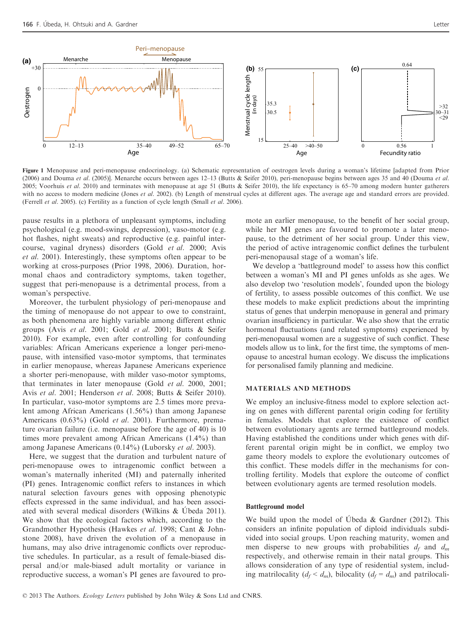

Figure 1 Menopause and peri-menopause endocrinology. (a) Schematic representation of oestrogen levels during a woman's lifetime [adapted from Prior (2006) and Douma et al. (2005)]. Menarche occurs between ages 12-13 (Butts & Seifer 2010), peri-menopause begins between ages 35 and 40 (Douma et al. 2005; Voorhuis et al. 2010) and terminates with menopause at age 51 (Butts & Seifer 2010), the life expectancy is 65–70 among modern hunter gatherers with no access to modern medicine (Jones et al. 2002). (b) Length of menstrual cycles at different ages. The average age and standard errors are provided. (Ferrell et al. 2005). (c) Fertility as a function of cycle length (Small et al. 2006).

pause results in a plethora of unpleasant symptoms, including psychological (e.g. mood-swings, depression), vaso-motor (e.g. hot flashes, night sweats) and reproductive (e.g. painful intercourse, vaginal dryness) disorders (Gold et al. 2000; Avis et al. 2001). Interestingly, these symptoms often appear to be working at cross-purposes (Prior 1998, 2006). Duration, hormonal chaos and contradictory symptoms, taken together, suggest that peri-menopause is a detrimental process, from a woman's perspective.

Moreover, the turbulent physiology of peri-menopause and the timing of menopause do not appear to owe to constraint, as both phenomena are highly variable among different ethnic groups (Avis et al. 2001; Gold et al. 2001; Butts & Seifer 2010). For example, even after controlling for confounding variables: African Americans experience a longer peri-menopause, with intensified vaso-motor symptoms, that terminates in earlier menopause, whereas Japanese Americans experience a shorter peri-menopause, with milder vaso-motor symptoms, that terminates in later menopause (Gold et al. 2000, 2001; Avis et al. 2001; Henderson et al. 2008; Butts & Seifer 2010). In particular, vaso-motor symptoms are 2.5 times more prevalent among African Americans (1.56%) than among Japanese Americans (0.63%) (Gold et al. 2001). Furthermore, premature ovarian failure (i.e. menopause before the age of 40) is 10 times more prevalent among African Americans (1.4%) than among Japanese Americans (0.14%) (Luborsky et al. 2003).

Here, we suggest that the duration and turbulent nature of peri-menopause owes to intragenomic conflict between a woman's maternally inherited (MI) and paternally inherited (PI) genes. Intragenomic conflict refers to instances in which natural selection favours genes with opposing phenotypic effects expressed in the same individual, and has been associated with several medical disorders (Wilkins & Úbeda 2011). We show that the ecological factors which, according to the Grandmother Hypothesis (Hawkes et al. 1998; Cant & Johnstone 2008), have driven the evolution of a menopause in humans, may also drive intragenomic conflicts over reproductive schedules. In particular, as a result of female-biased dispersal and/or male-biased adult mortality or variance in reproductive success, a woman's PI genes are favoured to promote an earlier menopause, to the benefit of her social group, while her MI genes are favoured to promote a later menopause, to the detriment of her social group. Under this view, the period of active intragenomic conflict defines the turbulent peri-menopausal stage of a woman's life.

We develop a 'battleground model' to assess how this conflict between a woman's MI and PI genes unfolds as she ages. We also develop two 'resolution models', founded upon the biology of fertility, to assess possible outcomes of this conflict. We use these models to make explicit predictions about the imprinting status of genes that underpin menopause in general and primary ovarian insufficiency in particular. We also show that the erratic hormonal fluctuations (and related symptoms) experienced by peri-menopausal women are a suggestive of such conflict. These models allow us to link, for the first time, the symptoms of menopause to ancestral human ecology. We discuss the implications for personalised family planning and medicine.

#### MATERIALS AND METHODS

We employ an inclusive-fitness model to explore selection acting on genes with different parental origin coding for fertility in females. Models that explore the existence of conflict between evolutionary agents are termed battleground models. Having established the conditions under which genes with different parental origin might be in conflict, we employ two game theory models to explore the evolutionary outcomes of this conflict. These models differ in the mechanisms for controlling fertility. Models that explore the outcome of conflict between evolutionary agents are termed resolution models.

### Battleground model

We build upon the model of Ubeda & Gardner (2012). This considers an infinite population of diploid individuals subdivided into social groups. Upon reaching maturity, women and men disperse to new groups with probabilities  $d_f$  and  $d_m$ respectively, and otherwise remain in their natal groups. This allows consideration of any type of residential system, including matrilocality  $(d_f < d_m)$ , bilocality  $(d_f = d_m)$  and patrilocali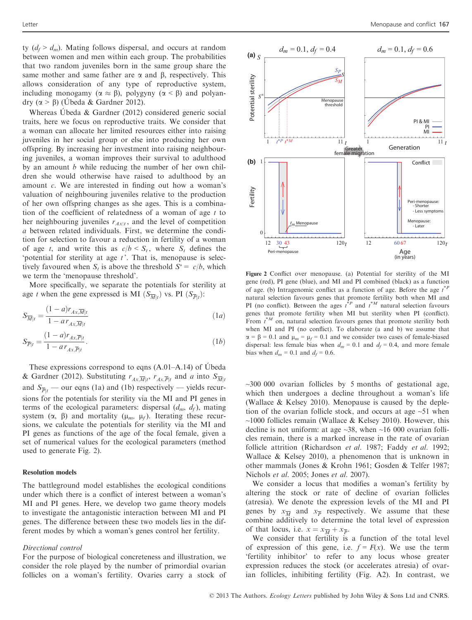ty  $(d_f > d_m)$ . Mating follows dispersal, and occurs at random between women and men within each group. The probabilities that two random juveniles born in the same group share the same mother and same father are  $\alpha$  and  $\beta$ , respectively. This allows consideration of any type of reproductive system, including monogamy ( $\alpha \approx \beta$ ), polygyny ( $\alpha < \beta$ ) and polyandry  $(\alpha > \beta)$  (Ubeda & Gardner 2012).

Whereas Úbeda & Gardner (2012) considered generic social traits, here we focus on reproductive traits. We consider that a woman can allocate her limited resources either into raising juveniles in her social group or else into producing her own offspring. By increasing her investment into raising neighbouring juveniles, a woman improves their survival to adulthood by an amount  $b$  while reducing the number of her own children she would otherwise have raised to adulthood by an amount  $c$ . We are interested in finding out how a woman's valuation of neighbouring juveniles relative to the production of her own offspring changes as she ages. This is a combination of the coefficient of relatedness of a woman of age  $t$  to her neighbouring juveniles  $r_{Ax|t}$ , and the level of competition a between related individuals. First, we determine the condition for selection to favour a reduction in fertility of a woman of age t, and write this as  $c/b \leq S_t$ , where  $S_t$  defines the 'potential for sterility at age  $t$ '. That is, menopause is selectively favoured when  $S_t$  is above the threshold  $S^* = c/b$ , which we term the 'menopause threshold'.

More specifically, we separate the potentials for sterility at age *t* when the gene expressed is MI  $(S_{\overline{M}|t})$  vs. PI  $(S_{\overline{P}|t})$ :

$$
S_{\overline{M}|t} = \frac{(1-a)r_{Ax,\overline{M}|t}}{1 - a r_{Ax,\overline{M}|t}}
$$
(1*a*)

$$
S_{\overline{P}|t} = \frac{(1-a)r_{Ax,\overline{P}|t}}{1 - a r_{Ax,\overline{P}|t}}.
$$
\n(1b)

These expressions correspond to eqns (A.01–A.14) of Ubeda & Gardner (2012). Substituting  $r_{Ax, \overline{M}|t}$ ,  $r_{Ax, \overline{P}|t}$  and a into  $S_{\overline{M}|t}$ and  $S_{\overline{P}|t}$  — our eqns (1a) and (1b) respectively — yields recursions for the potentials for sterility via the MI and PI genes in terms of the ecological parameters: dispersal  $(d_m, d_f)$ , mating system  $(\alpha, \beta)$  and mortality  $(\mu_m, \mu_f)$ . Iterating these recursions, we calculate the potentials for sterility via the MI and PI genes as functions of the age of the focal female, given a set of numerical values for the ecological parameters (method used to generate Fig. 2).

# Resolution models

The battleground model establishes the ecological conditions under which there is a conflict of interest between a woman's MI and PI genes. Here, we develop two game theory models to investigate the antagonistic interaction between MI and PI genes. The difference between these two models lies in the different modes by which a woman's genes control her fertility.

#### Directional control

For the purpose of biological concreteness and illustration, we consider the role played by the number of primordial ovarian follicles on a woman's fertility. Ovaries carry a stock of



Figure 2 Conflict over menopause. (a) Potential for sterility of the MI gene (red), PI gene (blue), and MI and PI combined (black) as a function of age. (b) Intragenomic conflict as a function of age. Before the age  $t^*$ natural selection favours genes that promote fertility both when MI and PI (no conflict). Between the ages  $t^*$  and  $t^*$  natural selection favours genes that promote fertility when MI but sterility when PI (conflict). From  $t^M$  on, natural selection favours genes that promote sterility both when MI and PI (no conflict). To elaborate (a and b) we assume that  $\alpha = \beta = 0.1$  and  $\mu_m = \mu_f = 0.1$  and we consider two cases of female-biased dispersal: less female bias when  $d_m = 0.1$  and  $d_f = 0.4$ , and more female bias when  $d_m = 0.1$  and  $d_f = 0.6$ .

 $\sim$ 300 000 ovarian follicles by 5 months of gestational age, which then undergoes a decline throughout a woman's life (Wallace & Kelsey 2010). Menopause is caused by the depletion of the ovarian follicle stock, and occurs at age  $\sim$ 51 when  $\sim$ 1000 follicles remain (Wallace & Kelsey 2010). However, this decline is not uniform: at age  $\sim$ 38, when  $\sim$ 16 000 ovarian follicles remain, there is a marked increase in the rate of ovarian follicle attrition (Richardson et al. 1987; Faddy et al. 1992; Wallace & Kelsey 2010), a phenomenon that is unknown in other mammals (Jones & Krohn 1961; Gosden & Telfer 1987; Nichols et al. 2005; Jones et al. 2007).

We consider a locus that modifies a woman's fertility by altering the stock or rate of decline of ovarian follicles (atresia). We denote the expression levels of the MI and PI genes by  $x_{\overline{M}}$  and  $x_{\overline{P}}$  respectively. We assume that these combine additively to determine the total level of expression of that locus, i.e.  $x = x_{\overline{M}} + x_{\overline{P}}$ .

We consider that fertility is a function of the total level of expression of this gene, i.e.  $f = F(x)$ . We use the term 'fertility inhibitor' to refer to any locus whose greater expression reduces the stock (or accelerates atresia) of ovarian follicles, inhibiting fertility (Fig. A2). In contrast, we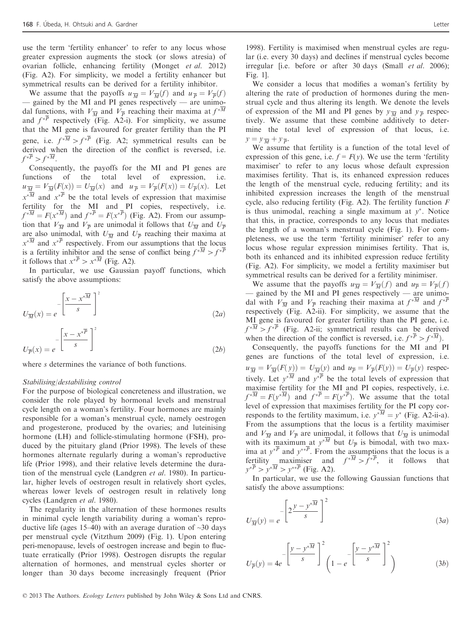use the term 'fertility enhancer' to refer to any locus whose greater expression augments the stock (or slows atresia) of ovarian follicle, enhancing fertility (Monget et al. 2012) (Fig. A2). For simplicity, we model a fertility enhancer but symmetrical results can be derived for a fertility inhibitor.

We assume that the payoffs  $u_{\overline{M}} = V_{\overline{M}}(f)$  and  $u_{\overline{p}} = V_{\overline{p}}(f)$ — gained by the MI and PI genes respectively — are unimodal functions, with  $V_{\overline{M}}$  and  $V_{\overline{P}}$  reaching their maxima at  $f^{*\overline{M}}$ and  $f^{*P}$  respectively (Fig. A2-i). For simplicity, we assume that the MI gene is favoured for greater fertility than the PI gene, i.e.  $f^{*\overline{M}} > f^{*\overline{P}}$  (Fig. A2; symmetrical results can be derived when the direction of the conflict is reversed, i.e.  $f^{* \overline{P}} > f^{* \overline{M}}.$ 

Consequently, the payoffs for the MI and PI genes are functions of the total level of expression, i.e.  $u_{\overline{M}} = V_{\overline{M}}(F(x)) = U_{\overline{M}}(x)$  and  $u_{\overline{P}} = V_{\overline{P}}(F(x)) = U_{\overline{P}}(x)$ . Let  $x^{*\overline{M}}$  and  $x^{*\overline{P}}$  be the total levels of expression that maximise fertility for the MI and PI copies, respectively, i.e.  $f^{*M} = F(x^{*M})$  and  $f^{*P} = F(x^{*P})$  (Fig. A2). From our assumption that  $V_{\overline{M}}$  and  $V_{\overline{P}}$  are unimodal it follows that  $U_{\overline{M}}$  and  $U_{\overline{P}}$ are also unimodal, with  $U_{\overline{M}}$  and  $U_{\overline{P}}$  reaching their maxima at  $x^{*\overline{M}}$  and  $x^{*\overline{P}}$  respectively. From our assumptions that the locus is a fertility inhibitor and the sense of conflict being  $f^{*M} > f^{*P}$ it follows that  $x^{*P} > x^{*M}$  (Fig. A2).

In particular, we use Gaussian payoff functions, which satisfy the above assumptions:

$$
U_{\overline{M}}(x) = e^{-\left[\frac{x - x^{*\overline{M}}}{s}\right]^2}
$$
 (2a)

$$
U_{\overline{P}}(x) = e^{-\left[\frac{x - x^{*\overline{P}}}{s}\right]^2}
$$
 (2b)

where *s* determines the variance of both functions.

## Stabilising/destabilising control

For the purpose of biological concreteness and illustration, we consider the role played by hormonal levels and menstrual cycle length on a woman's fertility. Four hormones are mainly responsible for a woman's menstrual cycle, namely oestrogen and progesterone, produced by the ovaries; and luteinising hormone (LH) and follicle-stimulating hormone (FSH), produced by the pituitary gland (Prior 1998). The levels of these hormones alternate regularly during a woman's reproductive life (Prior 1998), and their relative levels determine the duration of the menstrual cycle (Landgren et al. 1980). In particular, higher levels of oestrogen result in relatively short cycles, whereas lower levels of oestrogen result in relatively long cycles (Landgren et al. 1980).

The regularity in the alternation of these hormones results in minimal cycle length variability during a woman's reproductive life (ages 15–40) with an average duration of  $\sim$ 30 days per menstrual cycle (Vitzthum 2009) (Fig. 1). Upon entering peri-menopause, levels of oestrogen increase and begin to fluctuate erratically (Prior 1998). Oestrogen disrupts the regular alternation of hormones, and menstrual cycles shorter or longer than 30 days become increasingly frequent (Prior 1998). Fertility is maximised when menstrual cycles are regular (i.e. every 30 days) and declines if menstrual cycles become irregular [i.e. before or after 30 days (Small *et al.* 2006); Fig. 1].

We consider a locus that modifies a woman's fertility by altering the rate of production of hormones during the menstrual cycle and thus altering its length. We denote the levels of expression of the MI and PI genes by  $y_{\overline{M}}$  and  $y_{\overline{P}}$  respectively. We assume that these combine additively to determine the total level of expression of that locus, i.e.  $y = y_{\overline{M}} + y_{\overline{P}}.$ 

We assume that fertility is a function of the total level of expression of this gene, i.e.  $f = F(y)$ . We use the term 'fertility maximiser' to refer to any locus whose default expression maximises fertility. That is, its enhanced expression reduces the length of the menstrual cycle, reducing fertility; and its inhibited expression increases the length of the menstrual cycle, also reducing fertility (Fig. A2). The fertility function  $F$ is thus unimodal, reaching a single maximum at  $y^*$ . Notice that this, in practice, corresponds to any locus that mediates the length of a woman's menstrual cycle (Fig. 1). For completeness, we use the term 'fertility minimiser' refer to any locus whose regular expression minimises fertility. That is, both its enhanced and its inhibited expression reduce fertility (Fig. A2). For simplicity, we model a fertility maximiser but symmetrical results can be derived for a fertility minimiser.

We assume that the payoffs  $u_{\overline{M}} = V_{\overline{M}}(f)$  and  $u_{\overline{P}} = V_{\overline{P}}(f)$ — gained by the MI and PI genes respectively — are unimodal with  $V_{\overline{M}}$  and  $V_{\overline{P}}$  reaching their maxima at  $f^{*M}$  and  $f^{*P}$ respectively (Fig. A2-ii). For simplicity, we assume that the MI gene is favoured for greater fertility than the PI gene, i.e.  $f^{*M} > f^{*P}$  (Fig. A2-ii; symmetrical results can be derived when the direction of the conflict is reversed, i.e.  $f^{* \overline{P}} > f^{* \overline{M}}$ ).

Consequently, the payoffs functions for the MI and PI genes are functions of the total level of expression, i.e.  $u_{\overline{M}} = V_{\overline{M}}(F(y)) = U_{\overline{M}}(y)$  and  $u_{\overline{P}} = V_{\overline{P}}(F(y)) = U_{\overline{P}}(y)$  respectively. Let  $y^*\overline{M}$  and  $y^*\overline{P}$  be the total levels of expression that maximise fertility for the MI and PI copies, respectively, i.e.  $f^{*M} = F(y^{*M})$  and  $f^{*P} = F(y^{*P})$ . We assume that the total level of expression that maximises fertility for the PI copy corresponds to the fertility maximum, i.e.  $y^*\overline{M} = y^*$  (Fig. A2-ii-a). From the assumptions that the locus is a fertility maximiser and  $V_{\overline{M}}$  and  $V_{\overline{P}}$  are unimodal, it follows that  $U_{\overline{M}}$  is unimodal with its maximum at  $y^{*M}$  but  $U_{\overline{P}}$  is bimodal, with two maxima at  $y^{*P}$  and  $y^{*P}$ . From the assumptions that the locus is a fertility maximiser and  $f^{*M} > f^{*P}$ , it follows that  $y^{* \overline{P}} > y^{* \overline{M}} > y^{** \overline{P}}$  (Fig. A2).

In particular, we use the following Gaussian functions that satisfy the above assumptions:

$$
U_{\overline{M}}(y) = e^{-\left[2\frac{y - y^{*\overline{M}}}{s}\right]^2}
$$
\n(3*a*)

$$
U_{\overline{P}}(y) = 4e^{-\left[\frac{y - y^{*\overline{M}}}{s}\right]^2} \left(1 - e^{-\left[\frac{y - y^{*\overline{M}}}{s}\right]^2}\right)
$$
 (3b)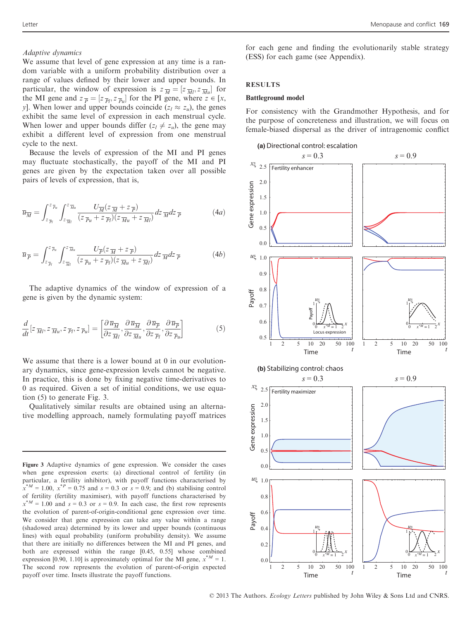#### Adaptive dynamics

We assume that level of gene expression at any time is a random variable with a uniform probability distribution over a range of values defined by their lower and upper bounds. In particular, the window of expression is  $z_{\overline{M}} = [z_{\overline{M}l}, z_{\overline{M}u}]$  for the MI gene and  $z_{\overline{p}} = [z_{\overline{p}_l}, z_{\overline{p}_u}]$  for the PI gene, where  $z \in [x,$ y]. When lower and upper bounds coincide ( $z_l \approx z_u$ ), the genes exhibit the same level of expression in each menstrual cycle. When lower and upper bounds differ  $(z_1 \neq z_0)$ , the gene may exhibit a different level of expression from one menstrual cycle to the next.

Because the levels of expression of the MI and PI genes may fluctuate stochastically, the payoff of the MI and PI genes are given by the expectation taken over all possible pairs of levels of expression, that is,

$$
\overline{u}_{\overline{M}} = \int_{z_{\overline{P}l}}^{z_{\overline{P}u}} \int_{z_{\overline{M}l}}^{z_{\overline{M}u}} \frac{U_{\overline{M}}(z_{\overline{M}} + z_{\overline{P}})}{(z_{\overline{P}u} + z_{\overline{P}l})(z_{\overline{M}u} + z_{\overline{M}l})} dz_{\overline{M}} dz_{\overline{P}}
$$
(4a)

$$
\overline{u}_{\overline{P}} = \int_{z_{\overline{P}l}}^{z_{\overline{P}u}} \int_{z_{\overline{M}l}}^{z_{\overline{M}u}} \frac{U_{\overline{P}}(z_{\overline{M}} + z_{\overline{P}})}{(z_{\overline{P}u} + z_{\overline{P}l})(z_{\overline{M}u} + z_{\overline{M}l})} dz_{\overline{M}} dz_{\overline{P}}
$$
(4b)

The adaptive dynamics of the window of expression of a gene is given by the dynamic system:

$$
\frac{d}{dt}\left[z\,\overline{M}_l,z\,\overline{M}_u,z\,\overline{p}_l,z\,\overline{p}_u\right] = \left[\frac{\partial\,\overline{u}_{\overline{M}}}{\partial z\,\overline{M}_l},\frac{\partial\,\overline{u}_{\overline{M}}}{\partial z\,\overline{m}_u},\frac{\partial\,\overline{u}_{\overline{p}}}{\partial z\,\overline{p}_l},\frac{\partial\,\overline{u}_{\overline{p}}}{\partial z\,\overline{p}_u}\right] \tag{5}
$$

We assume that there is a lower bound at 0 in our evolutionary dynamics, since gene-expression levels cannot be negative. In practice, this is done by fixing negative time-derivatives to 0 as required. Given a set of initial conditions, we use equation (5) to generate Fig. 3.

Qualitatively similar results are obtained using an alternative modelling approach, namely formulating payoff matrices

Figure 3 Adaptive dynamics of gene expression. We consider the cases when gene expression exerts: (a) directional control of fertility (in particular, a fertility inhibitor), with payoff functions characterised by  $x^{M} = 1.00$ ,  $x^{P} = 0.75$  and  $s = 0.3$  or  $s = 0.9$ ; and (b) stabilising control of fertility (fertility maximiser), with payoff functions characterised by  $x^*$ <sup> $\frac{x^*M}{s}$ </sup> = 1.00 and  $s$  = 0.3 or  $s$  = 0.9. In each case, the first row represents the evolution of parent-of-origin-conditional gene expression over time. We consider that gene expression can take any value within a range (shadowed area) determined by its lower and upper bounds (continuous lines) with equal probability (uniform probability density). We assume that there are initially no differences between the MI and PI genes, and both are expressed within the range [0.45, 0.55] whose combined expression [0.90, 1.10] is approximately optimal for the MI gene,  $x^*$ <sup>M</sup> = 1. The second row represents the evolution of parent-of-origin expected payoff over time. Insets illustrate the payoff functions.

for each gene and finding the evolutionarily stable strategy (ESS) for each game (see Appendix).

#### RESULTS

#### Battleground model

For consistency with the Grandmother Hypothesis, and for the purpose of concreteness and illustration, we will focus on female-biased dispersal as the driver of intragenomic conflict



© 2013 The Authors. Ecology Letters published by John Wiley & Sons Ltd and CNRS.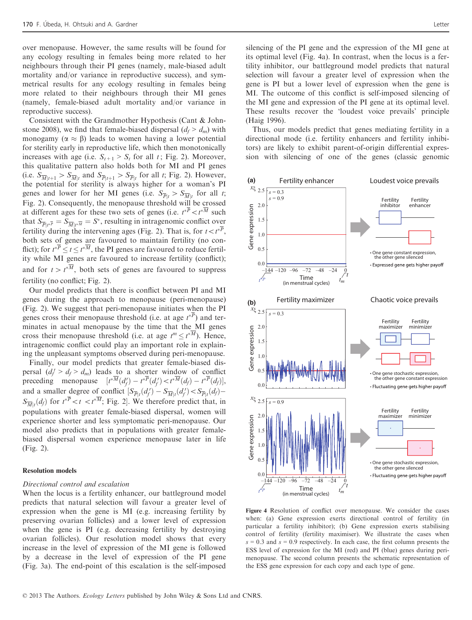over menopause. However, the same results will be found for any ecology resulting in females being more related to her neighbours through their PI genes (namely, male-biased adult mortality and/or variance in reproductive success), and symmetrical results for any ecology resulting in females being more related to their neighbours through their MI genes (namely, female-biased adult mortality and/or variance in reproductive success).

Consistent with the Grandmother Hypothesis (Cant & Johnstone 2008), we find that female-biased dispersal  $(d_f > d_m)$  with monogamy ( $\alpha \approx \beta$ ) leads to women having a lower potential for sterility early in reproductive life, which then monotonically increases with age (i.e.  $S_{t+1} > S_t$  for all t; Fig. 2). Moreover, this qualitative pattern also holds both for MI and PI genes (i.e.  $S_{\overline{M}|t+1} > S_{\overline{M}|t}$  and  $S_{\overline{P}|t+1} > S_{\overline{P}|t}$  for all t; Fig. 2). However, the potential for sterility is always higher for a woman's PI genes and lower for her MI genes (i.e.  $S_{\overline{P}|t} > S_{\overline{M}|t}$  for all t; Fig. 2). Consequently, the menopause threshold will be crossed at different ages for these two sets of genes (i.e.  $t^{*P} < t^{*M}$  such that  $S_{\overline{p}|_{\mathcal{F}}\overline{p}} = S_{\overline{M}|\mathcal{F}} = S^*$ , resulting in intragenomic conflict over fertility during the intervening ages (Fig. 2). That is, for  $t \lt t^{*P}$ , both sets of genes are favoured to maintain fertility (no conflict); for  $t^{*P} \le t \le t^{*M}$ , the PI genes are favoured to reduce fertility while MI genes are favoured to increase fertility (conflict); and for  $t > t^{*M}$ , both sets of genes are favoured to suppress fertility (no conflict; Fig. 2).

Our model predicts that there is conflict between PI and MI genes during the approach to menopause (peri-menopause) (Fig. 2). We suggest that peri-menopause initiates when the PI genes cross their menopause threshold (i.e. at age  $t^{*P}$ ) and terminates in actual menopause by the time that the MI genes cross their menopause threshold (i.e. at age  $t^m \le t^{*M}$ ). Hence, intragenomic conflict could play an important role in explaining the unpleasant symptoms observed during peri-menopause.

Finally, our model predicts that greater female-biased dispersal  $(d_f' > d_f > d_m)$  leads to a shorter window of conflict preceding menopause  $[t^{*M}(d_f') - t^{*P}(d_f') < t^{*M}(d_f) - t^{*P}(d_f)],$ and a smaller degree of conflict  $[S_{\overline{P}|t}(d'_f) - S_{\overline{M}|t}(d'_f) < S_{\overline{P}|t}(d_f) S_{\overline{M}|t}(d_f)$  for  $t^{*P} < t < t^{*M}$ ; Fig. 2. We therefore predict that, in populations with greater female-biased dispersal, women will experience shorter and less symptomatic peri-menopause. Our model also predicts that in populations with greater femalebiased dispersal women experience menopause later in life (Fig. 2).

#### Resolution models

# Directional control and escalation

When the locus is a fertility enhancer, our battleground model predicts that natural selection will favour a greater level of expression when the gene is MI (e.g. increasing fertility by preserving ovarian follicles) and a lower level of expression when the gene is PI (e.g. decreasing fertility by destroying ovarian follicles). Our resolution model shows that every increase in the level of expression of the MI gene is followed by a decrease in the level of expression of the PI gene (Fig. 3a). The end-point of this escalation is the self-imposed silencing of the PI gene and the expression of the MI gene at its optimal level (Fig. 4a). In contrast, when the locus is a fertility inhibitor, our battleground model predicts that natural selection will favour a greater level of expression when the gene is PI but a lower level of expression when the gene is MI. The outcome of this conflict is self-imposed silencing of the MI gene and expression of the PI gene at its optimal level. These results recover the 'loudest voice prevails' principle (Haig 1996).

Thus, our models predict that genes mediating fertility in a directional mode (i.e. fertility enhancers and fertility inhibitors) are likely to exhibit parent-of-origin differential expression with silencing of one of the genes (classic genomic



Figure 4 Resolution of conflict over menopause. We consider the cases when: (a) Gene expression exerts directional control of fertility (in particular a fertility inhibitor); (b) Gene expression exerts stabilising control of fertility (fertility maximiser). We illustrate the cases when  $s = 0.3$  and  $s = 0.9$  respectively. In each case, the first column presents the ESS level of expression for the MI (red) and PI (blue) genes during perimenopause. The second column presents the schematic representation of the ESS gene expression for each copy and each type of gene.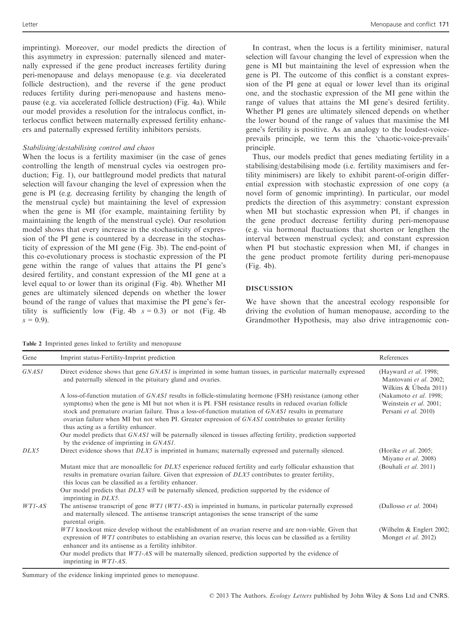imprinting). Moreover, our model predicts the direction of this asymmetry in expression: paternally silenced and maternally expressed if the gene product increases fertility during peri-menopause and delays menopause (e.g. via decelerated follicle destruction), and the reverse if the gene product reduces fertility during peri-menopause and hastens menopause (e.g. via accelerated follicle destruction) (Fig. 4a). While our model provides a resolution for the intralocus conflict, interlocus conflict between maternally expressed fertility enhancers and paternally expressed fertility inhibitors persists.

# Stabilising/destabilising control and chaos

When the locus is a fertility maximiser (in the case of genes controlling the length of menstrual cycles via oestrogen production; Fig. 1), our battleground model predicts that natural selection will favour changing the level of expression when the gene is PI (e.g. decreasing fertility by changing the length of the menstrual cycle) but maintaining the level of expression when the gene is MI (for example, maintaining fertility by maintaining the length of the menstrual cycle). Our resolution model shows that every increase in the stochasticity of expression of the PI gene is countered by a decrease in the stochasticity of expression of the MI gene (Fig. 3b). The end-point of this co-evolutionary process is stochastic expression of the PI gene within the range of values that attains the PI gene's desired fertility, and constant expression of the MI gene at a level equal to or lower than its original (Fig. 4b). Whether MI genes are ultimately silenced depends on whether the lower bound of the range of values that maximise the PI gene's fertility is sufficiently low (Fig. 4b  $s = 0.3$ ) or not (Fig. 4b  $s = 0.9$ .

In contrast, when the locus is a fertility minimiser, natural selection will favour changing the level of expression when the gene is MI but maintaining the level of expression when the gene is PI. The outcome of this conflict is a constant expression of the PI gene at equal or lower level than its original one, and the stochastic expression of the MI gene within the range of values that attains the MI gene's desired fertility. Whether PI genes are ultimately silenced depends on whether the lower bound of the range of values that maximise the MI gene's fertility is positive. As an analogy to the loudest-voiceprevails principle, we term this the 'chaotic-voice-prevails' principle.

Thus, our models predict that genes mediating fertility in a stabilising/destabilising mode (i.e. fertility maximisers and fertility minimisers) are likely to exhibit parent-of-origin differential expression with stochastic expression of one copy (a novel form of genomic imprinting). In particular, our model predicts the direction of this asymmetry: constant expression when MI but stochastic expression when PI, if changes in the gene product decrease fertility during peri-menopause (e.g. via hormonal fluctuations that shorten or lengthen the interval between menstrual cycles); and constant expression when PI but stochastic expression when MI, if changes in the gene product promote fertility during peri-menopause (Fig. 4b).

# DISCUSSION

We have shown that the ancestral ecology responsible for driving the evolution of human menopause, according to the Grandmother Hypothesis, may also drive intragenomic con-

Table 2 Imprinted genes linked to fertility and menopause

| Gene     | Imprint status-Fertility-Imprint prediction                                                                                                                                                                                                                                                                                                                                                                                                                                   | References                                                               |
|----------|-------------------------------------------------------------------------------------------------------------------------------------------------------------------------------------------------------------------------------------------------------------------------------------------------------------------------------------------------------------------------------------------------------------------------------------------------------------------------------|--------------------------------------------------------------------------|
| GNAS1    | Direct evidence shows that gene GNASI is imprinted in some human tissues, in particular maternally expressed<br>and paternally silenced in the pituitary gland and ovaries.                                                                                                                                                                                                                                                                                                   | (Hayward et al. 1998;<br>Mantovani et al. 2002;<br>Wilkins & Úbeda 2011) |
|          | A loss-of-function mutation of GNAS1 results in follicle-stimulating hormone (FSH) resistance (among other<br>symptoms) when the gene is MI but not when it is PI. FSH resistance results in reduced ovarian follicle<br>stock and premature ovarian failure. Thus a loss-of-function mutation of GNAS1 results in premature<br>ovarian failure when MI but not when PI. Greater expression of GNAS1 contributes to greater fertility<br>thus acting as a fertility enhancer. | (Nakamoto et al. 1998;<br>Weinstein et al. 2001;<br>Persani et al. 2010) |
|          | Our model predicts that GNAS1 will be paternally silenced in tissues affecting fertility, prediction supported<br>by the evidence of imprinting in GNAS1.                                                                                                                                                                                                                                                                                                                     |                                                                          |
| DLX5     | Direct evidence shows that <i>DLX5</i> is imprinted in humans; maternally expressed and paternally silenced.                                                                                                                                                                                                                                                                                                                                                                  | (Horike et al. 2005;<br>Miyano et al. 2008)                              |
|          | Mutant mice that are monoallelic for DLX5 experience reduced fertility and early follicular exhaustion that<br>results in premature ovarian failure. Given that expression of DLX5 contributes to greater fertility,<br>this locus can be classified as a fertility enhancer.                                                                                                                                                                                                 | (Bouhali et al. 2011)                                                    |
|          | Our model predicts that DLX5 will be paternally silenced, prediction supported by the evidence of<br>imprinting in $DLX5$ .                                                                                                                                                                                                                                                                                                                                                   |                                                                          |
| $WTI-AS$ | The antisense transcript of gene $WT1$ ( $WT1-AS$ ) is imprinted in humans, in particular paternally expressed<br>and maternally silenced. The antisense transcript antagonises the sense transcript of the same<br>parental origin.                                                                                                                                                                                                                                          | (Dallosso et al. 2004)                                                   |
|          | WTI knockout mice develop without the establishment of an ovarian reserve and are non-viable. Given that<br>expression of WT1 contributes to establishing an ovarian reserve, this locus can be classified as a fertility<br>enhancer and its antisense as a fertility inhibitor.                                                                                                                                                                                             | (Wilhelm & Englert 2002;<br>Monget et al. 2012)                          |
|          | Our model predicts that WTI-AS will be maternally silenced, prediction supported by the evidence of<br>imprinting in $WT1-AS$ .                                                                                                                                                                                                                                                                                                                                               |                                                                          |

Summary of the evidence linking imprinted genes to menopause.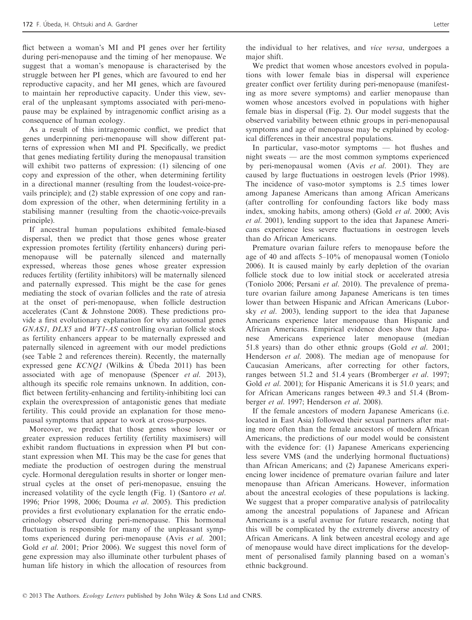flict between a woman's MI and PI genes over her fertility during peri-menopause and the timing of her menopause. We suggest that a woman's menopause is characterised by the struggle between her PI genes, which are favoured to end her reproductive capacity, and her MI genes, which are favoured to maintain her reproductive capacity. Under this view, several of the unpleasant symptoms associated with peri-menopause may be explained by intragenomic conflict arising as a consequence of human ecology.

As a result of this intragenomic conflict, we predict that genes underpinning peri-menopause will show different patterns of expression when MI and PI. Specifically, we predict that genes mediating fertility during the menopausal transition will exhibit two patterns of expression: (1) silencing of one copy and expression of the other, when determining fertility in a directional manner (resulting from the loudest-voice-prevails principle); and (2) stable expression of one copy and random expression of the other, when determining fertility in a stabilising manner (resulting from the chaotic-voice-prevails principle).

If ancestral human populations exhibited female-biased dispersal, then we predict that those genes whose greater expression promotes fertility (fertility enhancers) during perimenopause will be paternally silenced and maternally expressed, whereas those genes whose greater expression reduces fertility (fertility inhibitors) will be maternally silenced and paternally expressed. This might be the case for genes mediating the stock of ovarian follicles and the rate of atresia at the onset of peri-menopause, when follicle destruction accelerates (Cant & Johnstone 2008). These predictions provide a first evolutionary explanation for why autosomal genes GNAS1, DLX5 and WT1-AS controlling ovarian follicle stock as fertility enhancers appear to be maternally expressed and paternally silenced in agreement with our model predictions (see Table 2 and references therein). Recently, the maternally expressed gene  $KCNQI$  (Wilkins & Úbeda 2011) has been associated with age of menopause (Spencer et al. 2013), although its specific role remains unknown. In addition, conflict between fertility-enhancing and fertility-inhibiting loci can explain the overexpression of antagonistic genes that mediate fertility. This could provide an explanation for those menopausal symptoms that appear to work at cross-purposes.

Moreover, we predict that those genes whose lower or greater expression reduces fertility (fertility maximisers) will exhibit random fluctuations in expression when PI but constant expression when MI. This may be the case for genes that mediate the production of oestrogen during the menstrual cycle. Hormonal deregulation results in shorter or longer menstrual cycles at the onset of peri-menopasue, ensuing the increased volatility of the cycle length (Fig. 1) (Santoro et al. 1996; Prior 1998, 2006; Douma et al. 2005). This prediction provides a first evolutionary explanation for the erratic endocrinology observed during peri-menopause. This hormonal fluctuation is responsible for many of the unpleasant symptoms experienced during peri-menopause (Avis et al. 2001; Gold *et al.* 2001; Prior 2006). We suggest this novel form of gene expression may also illuminate other turbulent phases of human life history in which the allocation of resources from the individual to her relatives, and vice versa, undergoes a major shift.

We predict that women whose ancestors evolved in populations with lower female bias in dispersal will experience greater conflict over fertility during peri-menopause (manifesting as more severe symptoms) and earlier menopause than women whose ancestors evolved in populations with higher female bias in dispersal (Fig. 2). Our model suggests that the observed variability between ethnic groups in peri-menopausal symptoms and age of menopause may be explained by ecological differences in their ancestral populations.

In particular, vaso-motor symptoms — hot flushes and night sweats — are the most common symptoms experienced by peri-menopausal women (Avis et al. 2001). They are caused by large fluctuations in oestrogen levels (Prior 1998). The incidence of vaso-motor symptoms is 2.5 times lower among Japanese Americans than among African Americans (after controlling for confounding factors like body mass index, smoking habits, among others) (Gold et al. 2000; Avis et al. 2001), lending support to the idea that Japanese Americans experience less severe fluctuations in oestrogen levels than do African Americans.

Premature ovarian failure refers to menopause before the age of 40 and affects 5–10% of menopausal women (Toniolo 2006). It is caused mainly by early depletion of the ovarian follicle stock due to low initial stock or accelerated atresia (Toniolo 2006; Persani et al. 2010). The prevalence of premature ovarian failure among Japanese Americans is ten times lower than between Hispanic and African Americans (Luborsky et al. 2003), lending support to the idea that Japanese Americans experience later menopause than Hispanic and African Americans. Empirical evidence does show that Japanese Americans experience later menopause (median 51.8 years) than do other ethnic groups (Gold *et al.* 2001; Henderson et al. 2008). The median age of menopause for Caucasian Americans, after correcting for other factors, ranges between 51.2 and 51.4 years (Bromberger et al. 1997; Gold *et al.* 2001); for Hispanic Americans it is 51.0 years; and for African Americans ranges between 49.3 and 51.4 (Bromberger et al. 1997; Henderson et al. 2008).

If the female ancestors of modern Japanese Americans (i.e. located in East Asia) followed their sexual partners after mating more often than the female ancestors of modern African Americans, the predictions of our model would be consistent with the evidence for: (1) Japanese Americans experiencing less severe VMS (and the underlying hormonal fluctuations) than African Americans; and (2) Japanese Americans experiencing lower incidence of premature ovarian failure and later menopause than African Americans. However, information about the ancestral ecologies of these populations is lacking. We suggest that a proper comparative analysis of patrilocality among the ancestral populations of Japanese and African Americans is a useful avenue for future research, noting that this will be complicated by the extremely diverse ancestry of African Americans. A link between ancestral ecology and age of menopause would have direct implications for the development of personalised family planning based on a woman's ethnic background.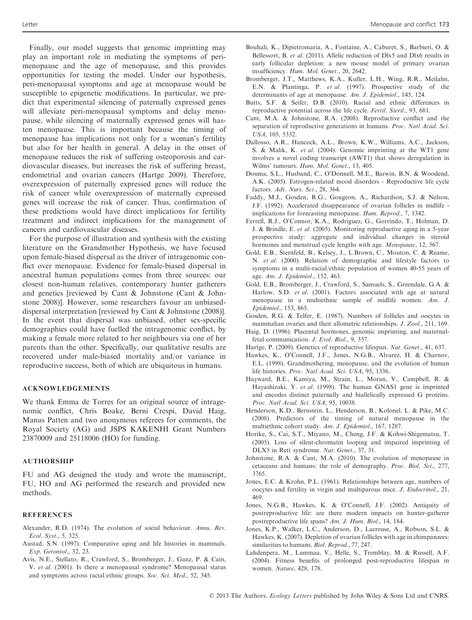Finally, our model suggests that genomic imprinting may play an important role in mediating the symptoms of perimenopause and the age of menopause, and this provides opportunities for testing the model. Under our hypothesis, peri-menopausal symptoms and age at menopause would be susceptible to epigenetic modifications. In particular, we predict that experimental silencing of paternally expressed genes will alleviate peri-menopausal symptoms and delay menopause, while silencing of maternally expressed genes will hasten menopause. This is important because the timing of menopause has implications not only for a woman's fertility but also for her health in general. A delay in the onset of menopause reduces the risk of suffering osteoporosis and cardiovascular diseases, but increases the risk of suffering breast, endometrial and ovarian cancers (Hartge 2009). Therefore, overexpression of paternally expressed genes will reduce the risk of cancer while overexpression of maternally expressed genes will increase the risk of cancer. Thus, confirmation of these predictions would have direct implications for fertility treatment and indirect implications for the management of cancers and cardiovascular diseases.

For the purpose of illustration and synthesis with the existing literature on the Grandmother Hypothesis, we have focused upon female-biased dispersal as the driver of intragenomic conflict over menopause. Evidence for female-biased dispersal in ancestral human populations comes from three sources: our closest non-human relatives, contemporary hunter gatherers and genetics [reviewed by Cant & Johnstone (Cant & Johnstone 2008)]. However, some researchers favour an unbiaseddispersal interpretation [reviewed by Cant & Johnstone (2008)]. In the event that dispersal was unbiased, other sex-specific demographies could have fuelled the intragenomic conflict, by making a female more related to her neighbours via one of her parents than the other. Specifically, our qualitative results are recovered under male-biased mortality and/or variance in reproductive success, both of which are ubiquitous in humans.

#### ACKNOWLEDGEMENTS

We thank Emma de Torres for an original source of intragenomic conflict, Chris Boake, Berni Crespi, David Haig, Manus Patten and two anonymous referees for comments, the Royal Society (AG) and JSPS KAKENHI Grant Numbers 23870009 and 25118006 (HO) for funding.

# AUTHORSHIP

FU and AG designed the study and wrote the manuscript, FU, HO and AG performed the research and provided new methods.

#### **REFERENCES**

- Alexander, R.D. (1974). The evolution of social behaviour. Annu. Rev. Ecol. Syst., 5, 325.
- Austad, S.N. (1997). Comparative aging and life histories in mammals. Exp. Gerontol., 32, 23.
- Avis, N.E., Stellato, R., Crawford, S., Bromberger, J., Ganz, P. & Cain, V. et al. (2001). Is there a menopausal syndrome? Menopausal status and symptoms across racial/ethnic groups. Soc. Sci. Med., 52, 345.
- Bouhali, K., Dipietromaria, A., Fontaine, A., Caburet, S., Barbieri, O. & Bellessort, B. et al. (2011). Allelic reduction of Dlx5 and Dlx6 results in early follicular depletion: a new mouse model of primary ovarian insufficiency. Hum. Mol. Genet., 20, 2642.
- Bromberger, J.T., Matthews, K.A., Kuller, L.H., Wing, R.R., Meilahn, E.N. & Plantinga, P. et al. (1997). Prospective study of the determinants of age at menopause. Am. J. Epidemiol., 145, 124.
- Butts, S.F. & Seifer, D.B. (2010). Racial and ethnic differences in reproductive potential across the life cycle. Fertil. Steril., 93, 681.
- Cant, M.A. & Johnstone, R.A. (2008). Reproductive conflict and the separation of reproductive generations in humans. *Proc. Natl Acad. Sci.* USA, 105, 5332.
- Dallosso, A.R., Hancock, A.L., Brown, K.W., Williams, A.C., Jackson, S. & Malik, K. et al. (2004). Genomic imprinting at the WT1 gene involves a novel coding transcript (AWT1) that shows deregulation in Wilms' tumours. Hum. Mol. Genet., 13, 405.
- Douma, S.L., Husband, C., O'Donnell, M.E., Barwin, B.N. & Woodend, A.K. (2005). Estrogen-related mood disorders - Reproductive life cycle factors. Adv. Nurs. Sci., 28, 364.
- Faddy, M.J., Gosden, R.G., Gougeon, A., Richardson, S.J. & Nelson, J.F. (1992). Accelerated disappearance of ovarian follicles in midlife implications for forecasting menopause. Hum. Reprod., 7, 1342.
- Ferrell, R.J., O'Connor, K.A., Rodriguez, G., Gorrindo, T., Holman, D. J. & Brindle, E. et al. (2005). Monitoring reproductive aging in a 5-year prospective study: aggregate and individual changes in steroid hormones and menstrual cycle lengths with age. Menopause, 12, 567.
- Gold, E.B., Sternfeld, B., Kelsey, J., L.Brown, C., Mouton, C. & Reame, N. et al. (2000). Relation of demographic and lifestyle factors to symptoms in a multi-racial/ethnic population of women 40-55 years of age. Am. J. Epidemiol., 152, 463.
- Gold, E.B., Bromberger, J., Crawford, S., Samuels, S., Greendale, G.A. & Harlow, S.D. et al. (2001). Factors associated with age at natural menopause in a multiethnic sample of midlife women. Am. J. Epidemiol., 153, 865.
- Gosden, R.G. & Telfer, E. (1987). Numbers of follicles and oocytes in mammalian ovaries and their allometric relationships. J. Zool., 211, 169.
- Haig, D. (1996). Placental hormones, genomic imprinting, and maternalfetal communication. J. Evol. Biol., 9, 357.
- Hartge, P. (2009). Genetics of reproductive lifespan. Nat. Genet., 41, 637.
- Hawkes, K., O'Connell, J.F., Jones, N.G.B., Alvarez, H. & Charnov, E.L. (1998). Grandmothering, menopause, and the evolution of human life histories. Proc. Natl Acad. Sci. USA, 95, 1336.
- Hayward, B.E., Kamiya, M., Strain, L., Moran, V., Campbell, R. & Hayashizaki, Y. et al. (1998). The human GNAS1 gene is imprinted and encodes distinct paternally and biallelically expressed G proteins. Proc. Natl Acad. Sci. USA, 95, 10038.
- Henderson, K.D., Bernstein, L., Henderson, B., Kolonel, L. & Pike, M.C. (2008). Predictors of the timing of natural menopause in the multiethnic cohort study. Am. J. Epidemiol., 167, 1287.
- Horike, S., Cai, S.T., Miyano, M., Cheng, J.F. & Kohwi-Shigematsu, T. (2005). Loss of silent-chromatin looping and impaired imprinting of DLX5 in Rett syndrome. Nat. Genet., 37, 31.
- Johnstone, R.A. & Cant, M.A. (2010). The evolution of menopause in cetaceans and humans: the role of demography. Proc. Biol. Sci., 277, 3765.
- Jones, E.C. & Krohn, P.L. (1961). Relationships between age, numbers of oocytes and fertility in virgin and multiparous mice. J. Endocrinol., 21, 469.
- Jones, N.G.B., Hawkes, K. & O'Connell, J.F. (2002). Antiquity of postreproductive life: are there modern impacts on hunter-gatherer postreproductive life spans? Am. J. Hum. Biol., 14, 184.
- Jones, K.P., Walker, L.C., Anderson, D., Lacreuse, A., Robson, S.L. & Hawkes, K. (2007). Depletion of ovarian follicles with age in chimpanzees: similarities to humans. Biol. Reprod., 77, 247.
- Lahdenpera, M., Lummaa, V., Helle, S., Tremblay, M. & Russell, A.F. (2004). Fitness benefits of prolonged post-reproductive lifespan in women. Nature, 428, 178.